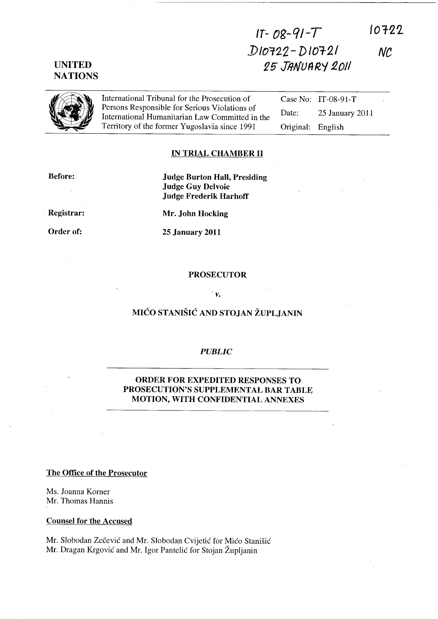# **UNITED NATIONS**

# **IT-** *Og-Qj-T ])/01'2'2* **- D 101-2/**  ~5 **JifNUflRY 1.011**   $10722$

*Ne* 



International Tribunal for the Prosecution of Persons Responsible for Serious Violations of International Humanitarian Law Committed in the Territory of the former Yugoslavia since 1991

Case No: IT-08-91-T Date: 25 January 2011 Original: English

### **IN TRIAL CHAMBER II**

**Judge Burton Hall, Presiding** 

**Before:** 

. **Registrar:** 

**Order of:** 

**Mr. John Hocking** 

**Judge Guy Delvoie Judge Frederik HarhofT** 

**2S January 2011** 

#### **PROSECUTOR**

#### *v.*

## **MIĆO STANIŠIĆ AND STOJAN ŽUPLJANIN**

#### *PUBLIC*

## **ORDER FOR EXPEDITED RESPONSES TO PROSECUTION'S SUPPLEMENTAL BAR TABLE MOTION, WITH CONFIDENTIAL ANNEXES**

#### **The Office of the Prosecutor**

Ms. Joanna Korner Mr. Thomas Hannis

#### **Counsel for the Accused**

Mr. Slobodan Zečević and Mr. Slobodan Cvijetić for Mićo Stanišić Mr. Dragan Krgovié and Mr. Igor Pantelié for Stojan Zupljanin